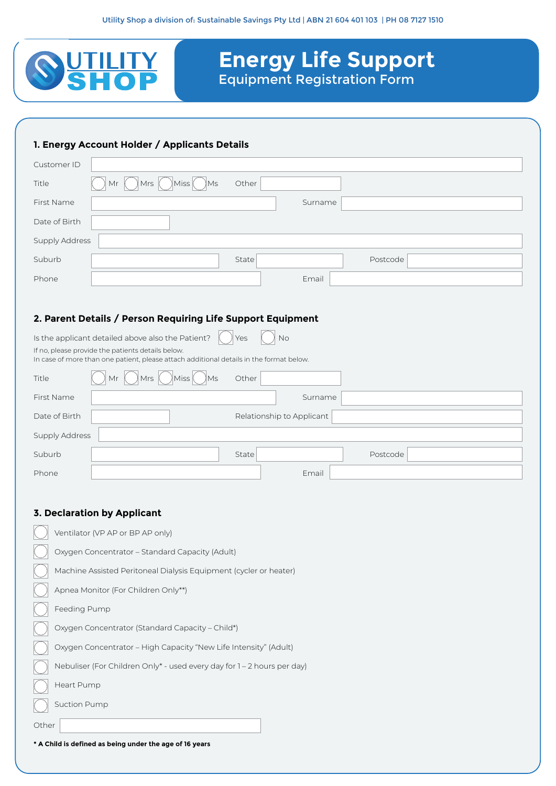

# **Energy Life Support**  Equipment Registration Form

### **1. Energy Account Holder / Applicants Details**

| Customer ID                                                                                                                                                                                                    |                                                         |  |  |  |
|----------------------------------------------------------------------------------------------------------------------------------------------------------------------------------------------------------------|---------------------------------------------------------|--|--|--|
| Title                                                                                                                                                                                                          | Miss<br>$\overline{\mathsf{M}}$ s<br>Other<br>Mrs<br>Mr |  |  |  |
| First Name                                                                                                                                                                                                     | Surname                                                 |  |  |  |
| Date of Birth                                                                                                                                                                                                  |                                                         |  |  |  |
| <b>Supply Address</b>                                                                                                                                                                                          |                                                         |  |  |  |
| Suburb                                                                                                                                                                                                         | State<br>Postcode                                       |  |  |  |
| Phone                                                                                                                                                                                                          | Email                                                   |  |  |  |
|                                                                                                                                                                                                                |                                                         |  |  |  |
| 2. Parent Details / Person Requiring Life Support Equipment                                                                                                                                                    |                                                         |  |  |  |
| Is the applicant detailed above also the Patient?<br>No<br>Yes<br>If no, please provide the patients details below.<br>In case of more than one patient, please attach additional details in the format below. |                                                         |  |  |  |
| Title                                                                                                                                                                                                          | Ms<br>Other<br>Miss<br><b>Mrs</b>                       |  |  |  |
| First Name                                                                                                                                                                                                     | Surname                                                 |  |  |  |
| Date of Birth                                                                                                                                                                                                  | Relationship to Applicant                               |  |  |  |
| Supply Address                                                                                                                                                                                                 |                                                         |  |  |  |
| Suburb                                                                                                                                                                                                         | State<br>Postcode                                       |  |  |  |
| Phone                                                                                                                                                                                                          | Email                                                   |  |  |  |

#### **3. Declaration by Applicant**

| Ventilator (VP AP or BP AP only)                                        |
|-------------------------------------------------------------------------|
| Oxygen Concentrator - Standard Capacity (Adult)                         |
| Machine Assisted Peritoneal Dialysis Equipment (cycler or heater)       |
| Apnea Monitor (For Children Only**)                                     |
| Feeding Pump                                                            |
| Oxygen Concentrator (Standard Capacity - Child*)                        |
| Oxygen Concentrator - High Capacity "New Life Intensity" (Adult)        |
| Nebuliser (For Children Only* - used every day for 1 – 2 hours per day) |
| Heart Pump                                                              |
| <b>Suction Pump</b>                                                     |
| Other                                                                   |

**\* A Child is defined as being under the age of 16 years**